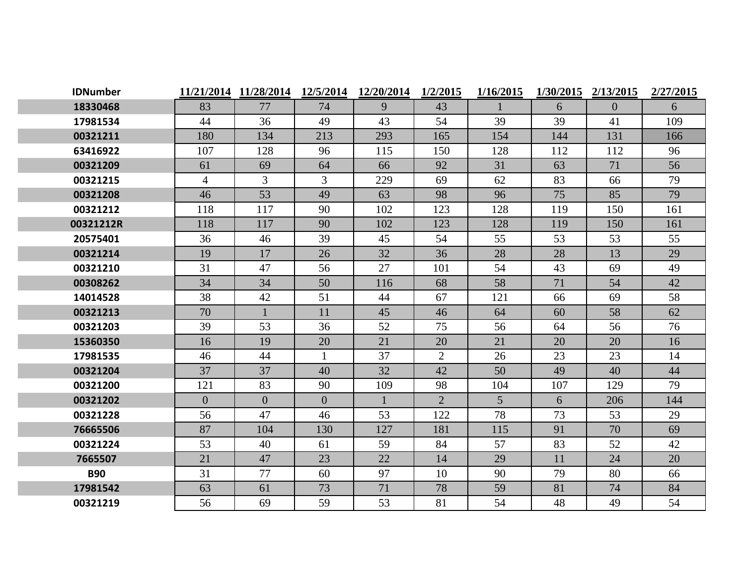| <b>IDNumber</b> |                | 11/21/2014 11/28/2014 | 12/5/2014      | 12/20/2014 | 1/2/2015       | 1/16/2015       | 1/30/2015 | 2/13/2015      | 2/27/2015 |
|-----------------|----------------|-----------------------|----------------|------------|----------------|-----------------|-----------|----------------|-----------|
| 18330468        | 83             | 77                    | 74             | 9          | 43             |                 | 6         | $\overline{0}$ | 6         |
| 17981534        | 44             | 36                    | 49             | 43         | 54             | 39              | 39        | 41             | 109       |
| 00321211        | 180            | 134                   | 213            | 293        | 165            | 154             | 144       | 131            | 166       |
| 63416922        | 107            | 128                   | 96             | 115        | 150            | 128             | 112       | 112            | 96        |
| 00321209        | 61             | 69                    | 64             | 66         | 92             | 31              | 63        | 71             | 56        |
| 00321215        | $\overline{4}$ | $\overline{3}$        | $\overline{3}$ | 229        | 69             | 62              | 83        | 66             | 79        |
| 00321208        | 46             | 53                    | 49             | 63         | 98             | 96              | 75        | 85             | 79        |
| 00321212        | 118            | 117                   | 90             | 102        | 123            | 128             | 119       | 150            | 161       |
| 00321212R       | 118            | 117                   | 90             | 102        | 123            | 128             | 119       | 150            | 161       |
| 20575401        | 36             | 46                    | 39             | 45         | 54             | 55              | 53        | 53             | 55        |
| 00321214        | 19             | 17                    | 26             | 32         | 36             | 28              | 28        | 13             | 29        |
| 00321210        | 31             | 47                    | 56             | 27         | 101            | 54              | 43        | 69             | 49        |
| 00308262        | 34             | 34                    | 50             | 116        | 68             | 58              | 71        | 54             | 42        |
| 14014528        | 38             | 42                    | 51             | 44         | 67             | 121             | 66        | 69             | 58        |
| 00321213        | 70             |                       | 11             | 45         | 46             | 64              | 60        | 58             | 62        |
| 00321203        | 39             | 53                    | 36             | 52         | 75             | 56              | 64        | 56             | 76        |
| 15360350        | 16             | 19                    | 20             | 21         | 20             | 21              | 20        | 20             | 16        |
| 17981535        | 46             | 44                    | $\mathbf{1}$   | 37         | $\overline{2}$ | 26              | 23        | 23             | 14        |
| 00321204        | 37             | 37                    | 40             | 32         | 42             | 50              | 49        | 40             | 44        |
| 00321200        | 121            | 83                    | 90             | 109        | 98             | 104             | 107       | 129            | 79        |
| 00321202        | $\overline{0}$ | $\overline{0}$        | $\overline{0}$ |            | $\overline{2}$ | $5\overline{)}$ | 6         | 206            | 144       |
| 00321228        | 56             | 47                    | 46             | 53         | 122            | 78              | 73        | 53             | 29        |
| 76665506        | 87             | 104                   | 130            | 127        | 181            | 115             | 91        | 70             | 69        |
| 00321224        | 53             | 40                    | 61             | 59         | 84             | 57              | 83        | 52             | 42        |
| 7665507         | 21             | 47                    | 23             | 22         | 14             | 29              | 11        | 24             | 20        |
| <b>B90</b>      | 31             | 77                    | 60             | 97         | 10             | 90              | 79        | 80             | 66        |
| 17981542        | 63             | 61                    | 73             | 71         | 78             | 59              | 81        | 74             | 84        |
| 00321219        | 56             | 69                    | 59             | 53         | 81             | 54              | 48        | 49             | 54        |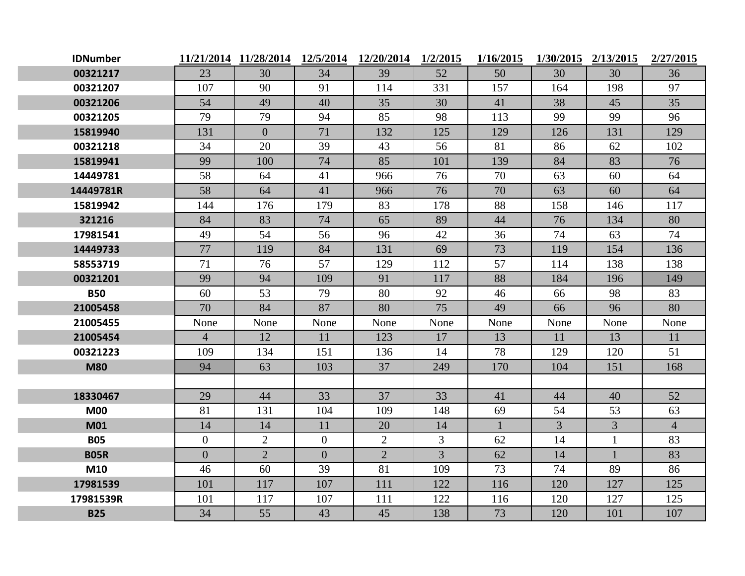| <b>IDNumber</b> |                |                |                | 11/21/2014 11/28/2014 12/5/2014 12/20/2014 1/2/2015 |      | 1/16/2015 |                | 1/30/2015 2/13/2015 | 2/27/2015      |
|-----------------|----------------|----------------|----------------|-----------------------------------------------------|------|-----------|----------------|---------------------|----------------|
| 00321217        | 23             | 30             | 34             | 39                                                  | 52   | 50        | 30             | 30                  | 36             |
| 00321207        | 107            | 90             | 91             | 114                                                 | 331  | 157       | 164            | 198                 | 97             |
| 00321206        | 54             | 49             | 40             | 35                                                  | 30   | 41        | 38             | 45                  | 35             |
| 00321205        | 79             | 79             | 94             | 85                                                  | 98   | 113       | 99             | 99                  | 96             |
| 15819940        | 131            | $\overline{0}$ | 71             | 132                                                 | 125  | 129       | 126            | 131                 | 129            |
| 00321218        | 34             | 20             | 39             | 43                                                  | 56   | 81        | 86             | 62                  | 102            |
| 15819941        | 99             | 100            | 74             | 85                                                  | 101  | 139       | 84             | 83                  | 76             |
| 14449781        | 58             | 64             | 41             | 966                                                 | 76   | 70        | 63             | 60                  | 64             |
| 14449781R       | 58             | 64             | 41             | 966                                                 | 76   | 70        | 63             | 60                  | 64             |
| 15819942        | 144            | 176            | 179            | 83                                                  | 178  | 88        | 158            | 146                 | 117            |
| 321216          | 84             | 83             | 74             | 65                                                  | 89   | 44        | 76             | 134                 | 80             |
| 17981541        | 49             | 54             | 56             | 96                                                  | 42   | 36        | 74             | 63                  | 74             |
| 14449733        | 77             | 119            | 84             | 131                                                 | 69   | 73        | 119            | 154                 | 136            |
| 58553719        | 71             | 76             | 57             | 129                                                 | 112  | 57        | 114            | 138                 | 138            |
| 00321201        | 99             | 94             | 109            | 91                                                  | 117  | 88        | 184            | 196                 | 149            |
| <b>B50</b>      | 60             | 53             | 79             | 80                                                  | 92   | 46        | 66             | 98                  | 83             |
| 21005458        | 70             | 84             | 87             | 80                                                  | 75   | 49        | 66             | 96                  | 80             |
| 21005455        | None           | None           | None           | None                                                | None | None      | None           | None                | None           |
| 21005454        | $\overline{4}$ | 12             | 11             | 123                                                 | 17   | 13        | 11             | 13                  | 11             |
| 00321223        | 109            | 134            | 151            | 136                                                 | 14   | 78        | 129            | 120                 | 51             |
| <b>M80</b>      | 94             | 63             | 103            | 37                                                  | 249  | 170       | 104            | 151                 | 168            |
|                 |                |                |                |                                                     |      |           |                |                     |                |
| 18330467        | 29             | 44             | 33             | 37                                                  | 33   | 41        | 44             | 40                  | 52             |
| <b>M00</b>      | 81             | 131            | 104            | 109                                                 | 148  | 69        | 54             | 53                  | 63             |
| <b>M01</b>      | 14             | 14             | 11             | 20                                                  | 14   |           | $\overline{3}$ | $\overline{3}$      | $\overline{4}$ |
| <b>B05</b>      | $\overline{0}$ | $\overline{2}$ | $\overline{0}$ | $\overline{2}$                                      | 3    | 62        | 14             |                     | 83             |
| <b>B05R</b>     | $\overline{0}$ | $\overline{2}$ | $\overline{0}$ | $\overline{2}$                                      | 3    | 62        | 14             | $\mathbf{1}$        | 83             |
| M10             | 46             | 60             | 39             | 81                                                  | 109  | 73        | 74             | 89                  | 86             |
| 17981539        | 101            | 117            | 107            | 111                                                 | 122  | 116       | 120            | 127                 | 125            |
| 17981539R       | 101            | 117            | 107            | 111                                                 | 122  | 116       | 120            | 127                 | 125            |
| <b>B25</b>      | 34             | 55             | 43             | 45                                                  | 138  | 73        | 120            | 101                 | 107            |